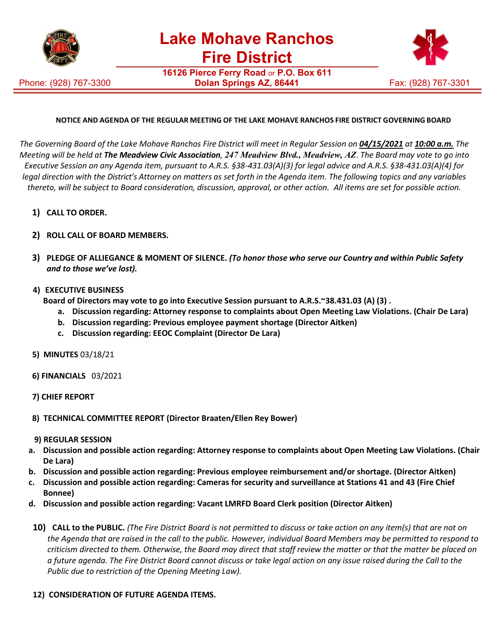

Phone: (928) 767-3300

**16126 Pierce Ferry Road** or **P.O. Box 611 Dolan Springs AZ, 86441** Fax: (928) 767-3301



## **NOTICE AND AGENDA OF THE REGULAR MEETING OF THE LAKE MOHAVE RANCHOS FIRE DISTRICT GOVERNING BOARD**

The Governing Board of the Lake Mohave Ranchos Fire District will meet in Regular Session on 04/15/2021 at 10:00 a.m. The *Meeting will be held at The Meadview Civic Association, 247 Meadview Blvd., Meadview, AZ*. *The Board may vote to go into Executive Session on any Agenda item, pursuant to A.R.S. §38-431.03(A)(3) for legal advice and A.R.S. §38-431.03(A)(4) for legal direction with the District's Attorney on matters as set forth in the Agenda item. The following topics and any variables thereto, will be subject to Board consideration, discussion, approval, or other action. All items are set for possible action.*

- **1) CALL TO ORDER.**
- **2) ROLL CALL OF BOARD MEMBERS.**
- **3) PLEDGE OF ALLIEGANCE & MOMENT OF SILENCE.** *(To honor those who serve our Country and within Public Safety and to those we've lost).*
- **4) EXECUTIVE BUSINESS**

**Board of Directors may vote to go into Executive Session pursuant to A.R.S.~38.431.03 (A) (3) .**

- **a. Discussion regarding: Attorney response to complaints about Open Meeting Law Violations. (Chair De Lara)**
- **b. Discussion regarding: Previous employee payment shortage (Director Aitken)**
- **c. Discussion regarding: EEOC Complaint (Director De Lara)**
- **5) MINUTES** 03/18/21
- **6) FINANCIALS** 03/2021
- **7) CHIEF REPORT**
- **8) TECHNICAL COMMITTEE REPORT (Director Braaten/Ellen Rey Bower)**
- **9) REGULAR SESSION**
- **a. Discussion and possible action regarding: Attorney response to complaints about Open Meeting Law Violations. (Chair De Lara)**
- **b. Discussion and possible action regarding: Previous employee reimbursement and/or shortage. (Director Aitken)**
- **c. Discussion and possible action regarding: Cameras for security and surveillance at Stations 41 and 43 (Fire Chief Bonnee)**
- **d. Discussion and possible action regarding: Vacant LMRFD Board Clerk position (Director Aitken)**
- 10) CALL to the PUBLIC. (The Fire District Board is not permitted to discuss or take action on any item(s) that are not on *the Agenda that are raised in the call to the public. However, individual Board Members may be permitted to respond to criticism directed to them. Otherwise, the Board may direct that staff review the matter or that the matter be placed on a future agenda. The Fire District Board cannot discuss or take legal action on any issue raised during the Call to the Public due to restriction of the Opening Meeting Law).*

## **12) CONSIDERATION OF FUTURE AGENDA ITEMS.**